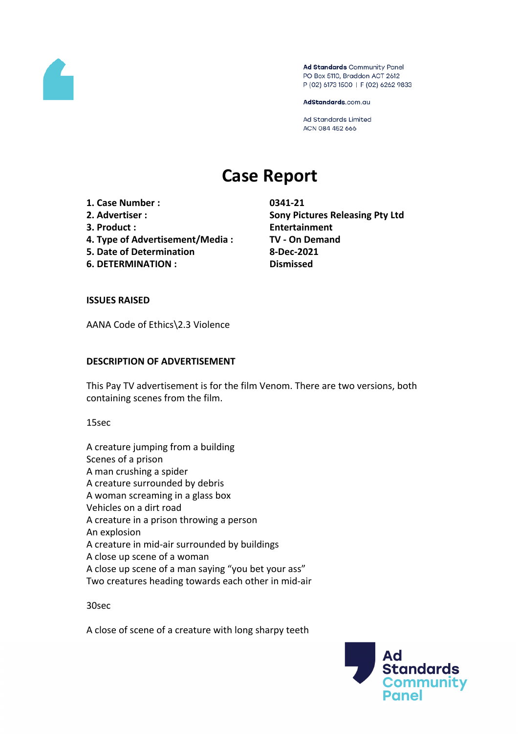

Ad Standards Community Panel PO Box 5110, Braddon ACT 2612 P (02) 6173 1500 | F (02) 6262 9833

AdStandards.com.au

Ad Standards Limited ACN 084 452 666

# **Case Report**

- **1. Case Number : 0341-21**
- 
- 
- **4. Type of Advertisement/Media : TV - On Demand**
- **5. Date of Determination 8-Dec-2021**
- **6. DETERMINATION : Dismissed**

**2. Advertiser : Sony Pictures Releasing Pty Ltd 3. Product : Entertainment**

# **ISSUES RAISED**

AANA Code of Ethics\2.3 Violence

# **DESCRIPTION OF ADVERTISEMENT**

This Pay TV advertisement is for the film Venom. There are two versions, both containing scenes from the film.

15sec

A creature jumping from a building Scenes of a prison A man crushing a spider A creature surrounded by debris A woman screaming in a glass box Vehicles on a dirt road A creature in a prison throwing a person An explosion A creature in mid-air surrounded by buildings A close up scene of a woman A close up scene of a man saying "you bet your ass" Two creatures heading towards each other in mid-air

30sec

A close of scene of a creature with long sharpy teeth

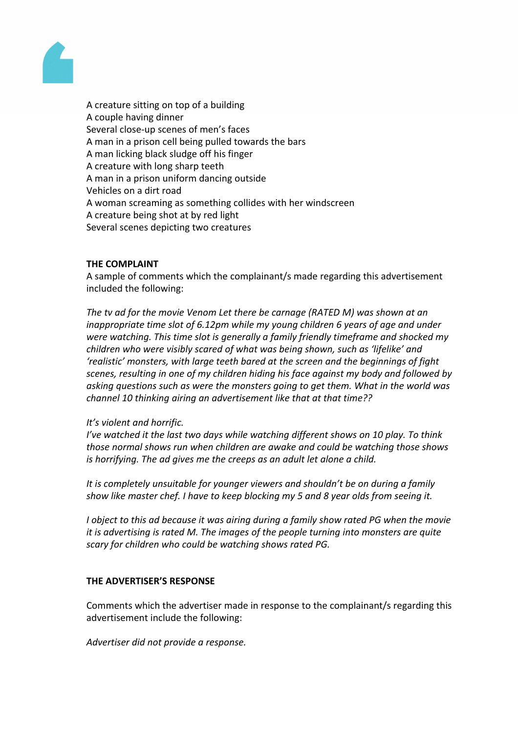

A creature sitting on top of a building A couple having dinner Several close-up scenes of men's faces A man in a prison cell being pulled towards the bars A man licking black sludge off his finger A creature with long sharp teeth A man in a prison uniform dancing outside Vehicles on a dirt road A woman screaming as something collides with her windscreen A creature being shot at by red light Several scenes depicting two creatures

## **THE COMPLAINT**

A sample of comments which the complainant/s made regarding this advertisement included the following:

*The tv ad for the movie Venom Let there be carnage (RATED M) was shown at an inappropriate time slot of 6.12pm while my young children 6 years of age and under were watching. This time slot is generally a family friendly timeframe and shocked my children who were visibly scared of what was being shown, such as 'lifelike' and 'realistic' monsters, with large teeth bared at the screen and the beginnings of fight scenes, resulting in one of my children hiding his face against my body and followed by asking questions such as were the monsters going to get them. What in the world was channel 10 thinking airing an advertisement like that at that time??*

## *It's violent and horrific.*

*I've watched it the last two days while watching different shows on 10 play. To think those normal shows run when children are awake and could be watching those shows is horrifying. The ad gives me the creeps as an adult let alone a child.*

*It is completely unsuitable for younger viewers and shouldn't be on during a family show like master chef. I have to keep blocking my 5 and 8 year olds from seeing it.*

*I object to this ad because it was airing during a family show rated PG when the movie it is advertising is rated M. The images of the people turning into monsters are quite scary for children who could be watching shows rated PG.*

#### **THE ADVERTISER'S RESPONSE**

Comments which the advertiser made in response to the complainant/s regarding this advertisement include the following:

*Advertiser did not provide a response.*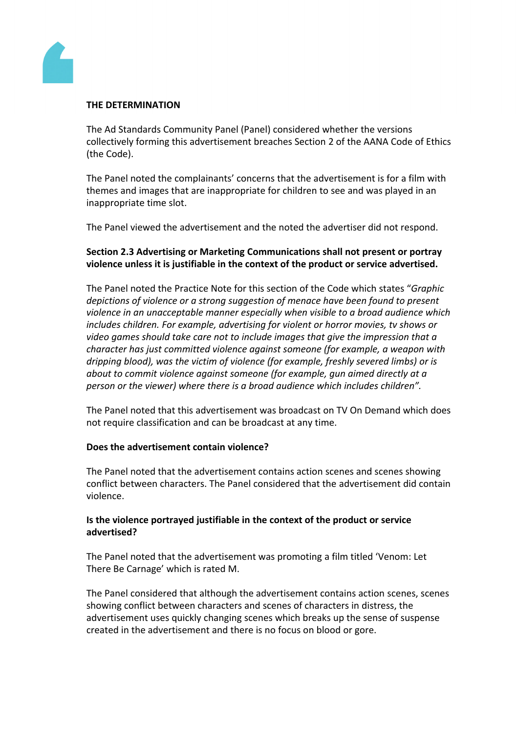

## **THE DETERMINATION**

The Ad Standards Community Panel (Panel) considered whether the versions collectively forming this advertisement breaches Section 2 of the AANA Code of Ethics (the Code).

The Panel noted the complainants' concerns that the advertisement is for a film with themes and images that are inappropriate for children to see and was played in an inappropriate time slot.

The Panel viewed the advertisement and the noted the advertiser did not respond.

# **Section 2.3 Advertising or Marketing Communications shall not present or portray violence unless it is justifiable in the context of the product or service advertised.**

The Panel noted the Practice Note for this section of the Code which states "*Graphic depictions of violence or a strong suggestion of menace have been found to present violence in an unacceptable manner especially when visible to a broad audience which includes children. For example, advertising for violent or horror movies, tv shows or video games should take care not to include images that give the impression that a character has just committed violence against someone (for example, a weapon with dripping blood), was the victim of violence (for example, freshly severed limbs) or is about to commit violence against someone (for example, gun aimed directly at a person or the viewer) where there is a broad audience which includes children".*

The Panel noted that this advertisement was broadcast on TV On Demand which does not require classification and can be broadcast at any time.

## **Does the advertisement contain violence?**

The Panel noted that the advertisement contains action scenes and scenes showing conflict between characters. The Panel considered that the advertisement did contain violence.

## **Is the violence portrayed justifiable in the context of the product or service advertised?**

The Panel noted that the advertisement was promoting a film titled 'Venom: Let There Be Carnage' which is rated M.

The Panel considered that although the advertisement contains action scenes, scenes showing conflict between characters and scenes of characters in distress, the advertisement uses quickly changing scenes which breaks up the sense of suspense created in the advertisement and there is no focus on blood or gore.